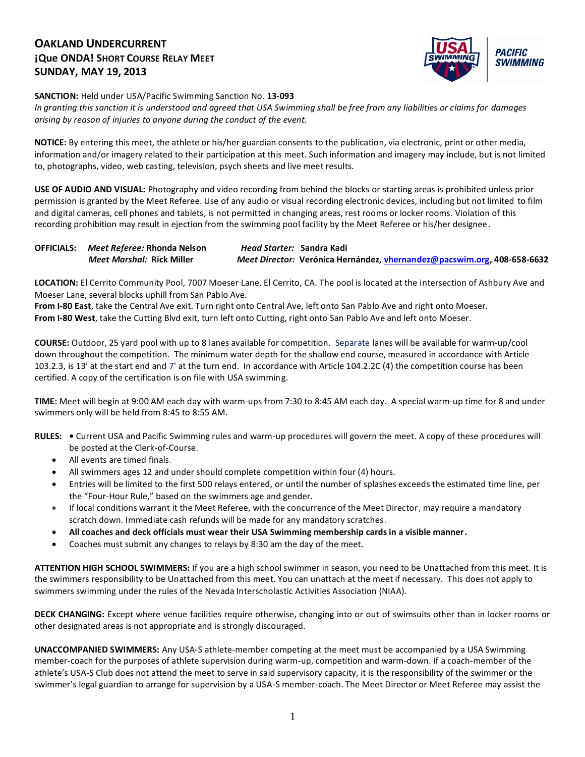### **OAKLAND UNDERCURRENT ¡Que ONDA! SHORT COURSE RELAY MEET SUNDAY, MAY 19, 2013**



**SANCTION:** Held under USA/Pacific Swimming Sanction No. **13-093**

*In granting this sanction it is understood and agreed that USA Swimming shall be free from any liabilities or claims for damages arising by reason of injuries to anyone during the conduct of the event.*

**NOTICE:** By entering this meet, the athlete or his/her guardian consents to the publication, via electronic, print or other media, information and/or imagery related to their participation at this meet. Such information and imagery may include, but is not limited to, photographs, video, web casting, television, psych sheets and live meet results.

**USE OF AUDIO AND VISUAL:** Photography and video recording from behind the blocks or starting areas is prohibited unless prior permission is granted by the Meet Referee. Use of any audio or visual recording electronic devices, including but not limited to film and digital cameras, cell phones and tablets, is not permitted in changing areas, rest rooms or locker rooms. Violation of this recording prohibition may result in ejection from the swimming pool facility by the Meet Referee or his/her designee.

| <b>OFFICIALS:</b> Meet Referee: Rhonda Nelson | Head Starter: Sandra Kadi                                               |
|-----------------------------------------------|-------------------------------------------------------------------------|
| Meet Marshal: Rick Miller                     | Meet Director: Verónica Hernández, vhernandez@pacswim.org, 408-658-6632 |

**LOCATION:** El Cerrito Community Pool, 7007 Moeser Lane, El Cerrito, CA. The pool is located at the intersection of Ashbury Ave and Moeser Lane, several blocks uphill from San Pablo Ave.

**From I-80 East**, take the Central Ave exit. Turn right onto Central Ave, left onto San Pablo Ave and right onto Moeser. **From I-80 West**, take the Cutting Blvd exit, turn left onto Cutting, right onto San Pablo Ave and left onto Moeser.

**COURSE:** Outdoor, 25 yard pool with up to 8 lanes available for competition.Separate lanes will be available for warm-up/cool down throughout the competition. The minimum water depth for the shallow end course, measured in accordance with Article 103.2.3, is 13' at the start end and 7' at the turn end. In accordance with Article 104.2.2C (4) the competition course has been certified. A copy of the certification is on file with USA swimming.

**TIME:** Meet will begin at 9:00 AM each day with warm-ups from 7:30 to 8:45 AM each day. A special warm-up time for 8 and under swimmers only will be held from 8:45 to 8:55 AM.

- **RULES:** Current USA and Pacific Swimming rules and warm-up procedures will govern the meet. A copy of these procedures will be posted at the Clerk-of-Course.
	- All events are timed finals.
	- All swimmers ages 12 and under should complete competition within four (4) hours.
	- Entries will be limited to the first 500 relays entered, or until the number of splashes exceeds the estimated time line, per the "Four-Hour Rule," based on the swimmers age and gender.
	- If local conditions warrant it the Meet Referee, with the concurrence of the Meet Director, may require a mandatory scratch down. Immediate cash refunds will be made for any mandatory scratches.
	- **All coaches and deck officials must wear their USA Swimming membership cards in a visible manner.**
	- Coaches must submit any changes to relays by 8:30 am the day of the meet.

**ATTENTION HIGH SCHOOL SWIMMERS:** If you are a high school swimmer in season, you need to be Unattached from this meet. It is the swimmers responsibility to be Unattached from this meet. You can unattach at the meet if necessary. This does not apply to swimmers swimming under the rules of the Nevada Interscholastic Activities Association (NIAA).

**DECK CHANGING:** Except where venue facilities require otherwise, changing into or out of swimsuits other than in locker rooms or other designated areas is not appropriate and is strongly discouraged.

**UNACCOMPANIED SWIMMERS:** Any USA-S athlete-member competing at the meet must be accompanied by a USA Swimming member-coach for the purposes of athlete supervision during warm-up, competition and warm-down. If a coach-member of the athlete's USA-S Club does not attend the meet to serve in said supervisory capacity, it is the responsibility of the swimmer or the swimmer's legal guardian to arrange for supervision by a USA-S member-coach. The Meet Director or Meet Referee may assist the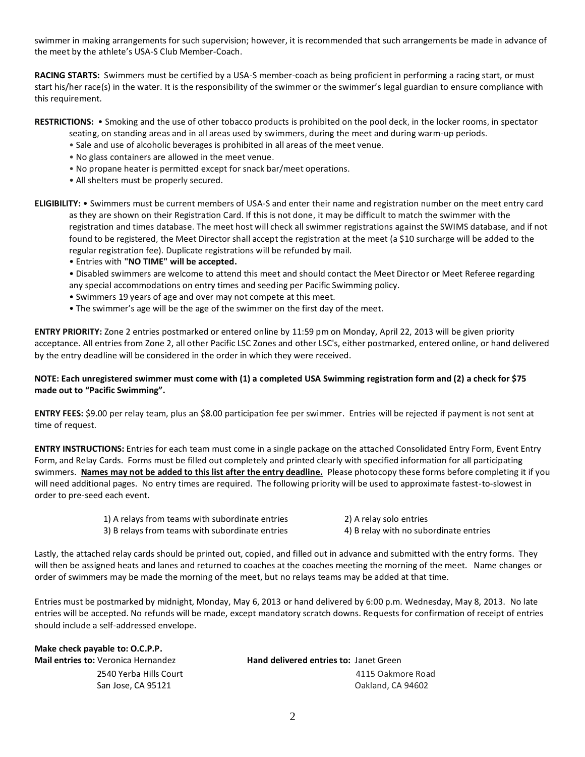swimmer in making arrangements for such supervision; however, it is recommended that such arrangements be made in advance of the meet by the athlete's USA-S Club Member-Coach.

**RACING STARTS:** Swimmers must be certified by a USA-S member-coach as being proficient in performing a racing start, or must start his/her race(s) in the water. It is the responsibility of the swimmer or the swimmer's legal guardian to ensure compliance with this requirement.

**RESTRICTIONS:** • Smoking and the use of other tobacco products is prohibited on the pool deck, in the locker rooms, in spectator

seating, on standing areas and in all areas used by swimmers, during the meet and during warm-up periods.

- Sale and use of alcoholic beverages is prohibited in all areas of the meet venue.
- No glass containers are allowed in the meet venue.
- No propane heater is permitted except for snack bar/meet operations.
- All shelters must be properly secured.

**ELIGIBILITY:** • Swimmers must be current members of USA-S and enter their name and registration number on the meet entry card as they are shown on their Registration Card. If this is not done, it may be difficult to match the swimmer with the registration and times database. The meet host will check all swimmer registrations against the SWIMS database, and if not found to be registered, the Meet Director shall accept the registration at the meet (a \$10 surcharge will be added to the regular registration fee). Duplicate registrations will be refunded by mail.

- Entries with **"NO TIME" will be accepted.**
- Disabled swimmers are welcome to attend this meet and should contact the Meet Director or Meet Referee regarding any special accommodations on entry times and seeding per Pacific Swimming policy.
- Swimmers 19 years of age and over may not compete at this meet.
- The swimmer's age will be the age of the swimmer on the first day of the meet.

**ENTRY PRIORITY:** Zone 2 entries postmarked or entered online by 11:59 pm on Monday, April 22, 2013 will be given priority acceptance. All entries from Zone 2, all other Pacific LSC Zones and other LSC's, either postmarked, entered online, or hand delivered by the entry deadline will be considered in the order in which they were received.

### **NOTE: Each unregistered swimmer must come with (1) a completed USA Swimming registration form and (2) a check for \$75 made out to "Pacific Swimming".**

**ENTRY FEES:** \$9.00 per relay team, plus an \$8.00 participation fee per swimmer. Entries will be rejected if payment is not sent at time of request.

**ENTRY INSTRUCTIONS:** Entries for each team must come in a single package on the attached Consolidated Entry Form, Event Entry Form, and Relay Cards. Forms must be filled out completely and printed clearly with specified information for all participating swimmers. **Names may not be added to this list after the entry deadline.** Please photocopy these forms before completing it if you will need additional pages. No entry times are required. The following priority will be used to approximate fastest-to-slowest in order to pre-seed each event.

> 1) A relays from teams with subordinate entries 2) A relay solo entries 3) B relays from teams with subordinate entries 4) B relay with no subordinate entries

Lastly, the attached relay cards should be printed out, copied, and filled out in advance and submitted with the entry forms. They will then be assigned heats and lanes and returned to coaches at the coaches meeting the morning of the meet. Name changes or order of swimmers may be made the morning of the meet, but no relays teams may be added at that time.

Entries must be postmarked by midnight, Monday, May 6, 2013 or hand delivered by 6:00 p.m. Wednesday, May 8, 2013. No late entries will be accepted. No refunds will be made, except mandatory scratch downs. Requests for confirmation of receipt of entries should include a self-addressed envelope.

| Make check payable to: O.C.P.P.            |                                               |
|--------------------------------------------|-----------------------------------------------|
| <b>Mail entries to: Veronica Hernandez</b> | <b>Hand delivered entries to: Janet Green</b> |
| 2540 Yerba Hills Court                     | 4115 Oakmore Road                             |
| San Jose, CA 95121                         | Oakland. CA 94602                             |
|                                            |                                               |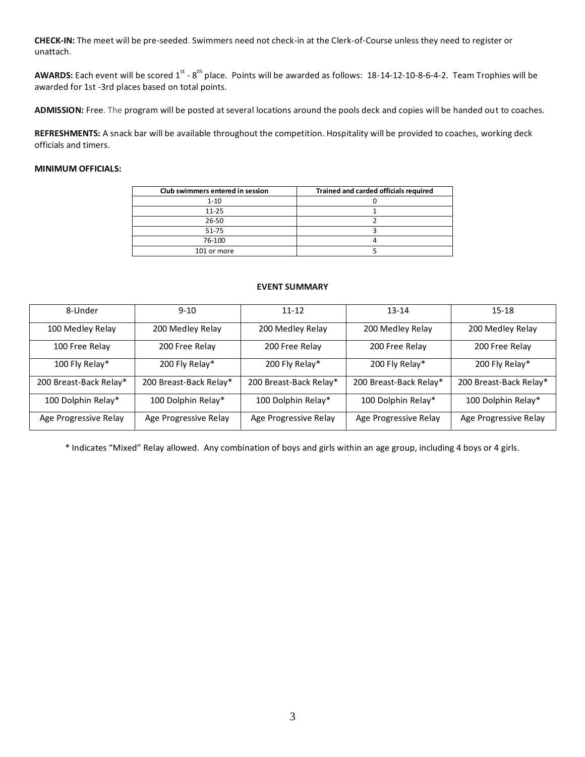**CHECK-IN:** The meet will be pre-seeded. Swimmers need not check-in at the Clerk-of-Course unless they need to register or unattach.

AWARDS: Each event will be scored 1<sup>st</sup> - 8<sup>th</sup> place. Points will be awarded as follows: 18-14-12-10-8-6-4-2. Team Trophies will be awarded for 1st -3rd places based on total points.

**ADMISSION:** Free. The program will be posted at several locations around the pools deck and copies will be handed out to coaches.

**REFRESHMENTS:** A snack bar will be available throughout the competition. Hospitality will be provided to coaches, working deck officials and timers.

### **MINIMUM OFFICIALS:**

| Club swimmers entered in session | Trained and carded officials required |
|----------------------------------|---------------------------------------|
| $1 - 10$                         |                                       |
| 11-25                            |                                       |
| 26-50                            |                                       |
| 51-75                            |                                       |
| 76-100                           |                                       |
| 101 or more                      |                                       |

#### **EVENT SUMMARY**

| 8-Under                | $9 - 10$               | $11 - 12$              | $13 - 14$              | $15 - 18$              |
|------------------------|------------------------|------------------------|------------------------|------------------------|
| 100 Medley Relay       | 200 Medley Relay       | 200 Medley Relay       | 200 Medley Relay       | 200 Medley Relay       |
| 100 Free Relay         | 200 Free Relay         | 200 Free Relay         | 200 Free Relay         | 200 Free Relay         |
| 100 Fly Relay*         | 200 Fly Relay*         | 200 Fly Relay*         | 200 Fly Relay*         | 200 Fly Relay*         |
| 200 Breast-Back Relay* | 200 Breast-Back Relay* | 200 Breast-Back Relay* | 200 Breast-Back Relay* | 200 Breast-Back Relay* |
| 100 Dolphin Relay*     | 100 Dolphin Relay*     | 100 Dolphin Relay*     | 100 Dolphin Relay*     | 100 Dolphin Relay*     |
| Age Progressive Relay  | Age Progressive Relay  | Age Progressive Relay  | Age Progressive Relay  | Age Progressive Relay  |

\* Indicates "Mixed" Relay allowed. Any combination of boys and girls within an age group, including 4 boys or 4 girls.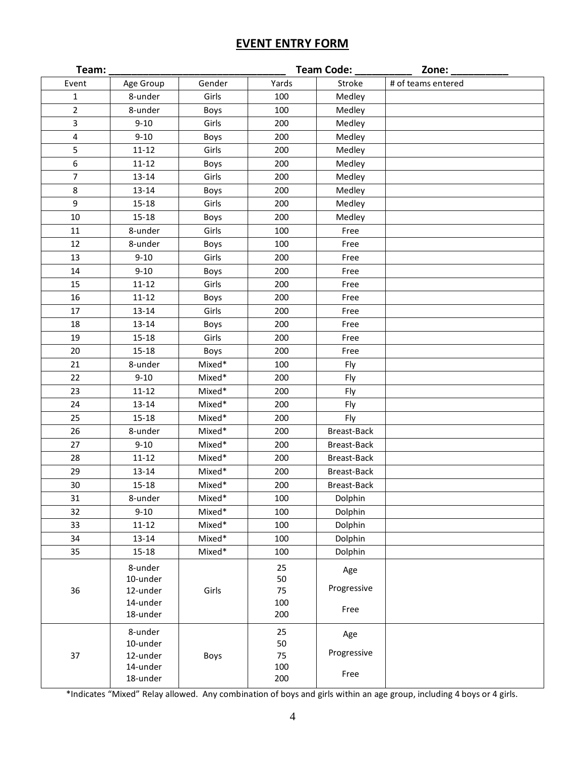# **EVENT ENTRY FORM**

|                  |                      | Team Code:<br>Team:<br>Zone: $\_$ |            |             |                    |  |  |  |
|------------------|----------------------|-----------------------------------|------------|-------------|--------------------|--|--|--|
| Event            | Age Group            | Gender                            | Yards      | Stroke      | # of teams entered |  |  |  |
| $\mathbf{1}$     | 8-under              | Girls                             | 100        | Medley      |                    |  |  |  |
| $\overline{2}$   | 8-under              | Boys                              | 100        | Medley      |                    |  |  |  |
| 3                | $9 - 10$             | Girls                             | 200        | Medley      |                    |  |  |  |
| $\pmb{4}$        | $9 - 10$             | Boys                              | 200        | Medley      |                    |  |  |  |
| 5                | $11 - 12$            | Girls                             | 200        | Medley      |                    |  |  |  |
| $\boldsymbol{6}$ | $11 - 12$            | Boys                              | 200        | Medley      |                    |  |  |  |
| $\overline{7}$   | $13 - 14$            | Girls                             | 200        | Medley      |                    |  |  |  |
| $\,8\,$          | $13 - 14$            | Boys                              | 200        | Medley      |                    |  |  |  |
| $\overline{9}$   | $15 - 18$            | Girls                             | 200        | Medley      |                    |  |  |  |
| 10               | $15 - 18$            | Boys                              | 200        | Medley      |                    |  |  |  |
| 11               | 8-under              | Girls                             | 100        | Free        |                    |  |  |  |
| 12               | 8-under              | Boys                              | 100        | Free        |                    |  |  |  |
| 13               | $9 - 10$             | Girls                             | 200        | Free        |                    |  |  |  |
| 14               | $9 - 10$             | Boys                              | 200        | Free        |                    |  |  |  |
| 15               | $11 - 12$            | Girls                             | 200        | Free        |                    |  |  |  |
| 16               | $11 - 12$            | Boys                              | 200        | Free        |                    |  |  |  |
| 17               | $13 - 14$            | Girls                             | 200        | Free        |                    |  |  |  |
| 18               | $13 - 14$            | Boys                              | 200        | Free        |                    |  |  |  |
| 19               | $15 - 18$            | Girls                             | 200        | Free        |                    |  |  |  |
| 20               | $15 - 18$            | Boys                              | 200        | Free        |                    |  |  |  |
| 21               | 8-under              | Mixed*                            | 100        | Fly         |                    |  |  |  |
| 22               | $9 - 10$             | Mixed*                            | 200        | Fly         |                    |  |  |  |
| 23               | $11 - 12$            | Mixed*                            | 200        | Fly         |                    |  |  |  |
| 24               | $13 - 14$            | Mixed*                            | 200        | Fly         |                    |  |  |  |
| 25               | $15 - 18$            | Mixed*                            | 200        | Fly         |                    |  |  |  |
| 26               | 8-under              | Mixed*                            | 200        | Breast-Back |                    |  |  |  |
| 27               | $9 - 10$             | Mixed*                            | 200        | Breast-Back |                    |  |  |  |
| 28               | $11 - 12$            | Mixed*                            | 200        | Breast-Back |                    |  |  |  |
| 29               | $13 - 14$            | Mixed*                            | 200        | Breast-Back |                    |  |  |  |
| 30               | $15 - 18$            | Mixed*                            | 200        | Breast-Back |                    |  |  |  |
| 31               | 8-under              | Mixed*                            | 100        | Dolphin     |                    |  |  |  |
| 32               | $9 - 10$             | Mixed*                            | 100        | Dolphin     |                    |  |  |  |
| 33               | $11 - 12$            | Mixed*                            | 100        | Dolphin     |                    |  |  |  |
| 34               | $13 - 14$            | Mixed*                            | 100        | Dolphin     |                    |  |  |  |
| 35               | $15 - 18$            | Mixed*                            | 100        | Dolphin     |                    |  |  |  |
|                  | 8-under              |                                   | 25         | Age         |                    |  |  |  |
|                  | 10-under             |                                   | 50         | Progressive |                    |  |  |  |
| 36               | 12-under             | Girls                             | 75         |             |                    |  |  |  |
|                  | 14-under<br>18-under |                                   | 100<br>200 | Free        |                    |  |  |  |
|                  |                      |                                   |            |             |                    |  |  |  |
|                  | 8-under              |                                   | 25         | Age         |                    |  |  |  |
|                  | 10-under             |                                   | 50         | Progressive |                    |  |  |  |
| 37               | 12-under<br>14-under | Boys                              | 75<br>100  |             |                    |  |  |  |
|                  | 18-under             |                                   | 200        | Free        |                    |  |  |  |
|                  |                      |                                   |            |             |                    |  |  |  |

\*Indicates "Mixed" Relay allowed. Any combination of boys and girls within an age group, including 4 boys or 4 girls.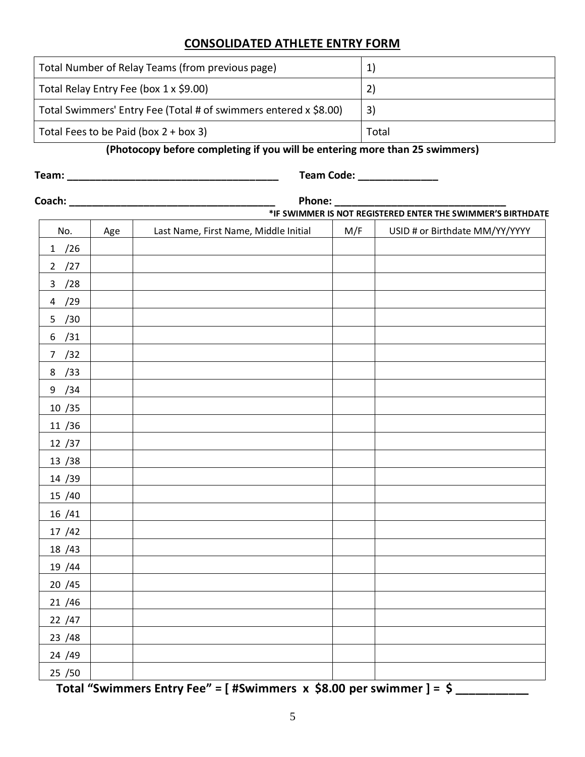## **CONSOLIDATED ATHLETE ENTRY FORM**

| Total Number of Relay Teams (from previous page)                 |       |
|------------------------------------------------------------------|-------|
| Total Relay Entry Fee (box 1 x \$9.00)                           | 2)    |
| Total Swimmers' Entry Fee (Total # of swimmers entered x \$8.00) | 3)    |
| Total Fees to be Paid (box $2 +$ box 3)                          | Total |

## **(Photocopy before completing if you will be entering more than 25 swimmers)**

**Team: \_\_\_\_\_\_\_\_\_\_\_\_\_\_\_\_\_\_\_\_\_\_\_\_\_\_\_\_\_\_\_\_\_\_\_\_\_ Team Code: \_\_\_\_\_\_\_\_\_\_\_\_\_\_**

| Coach: _                |     | Phone: _<br>*IF SWIMMER IS NOT REGISTERED ENTER THE SWIMMER'S BIRTHDATE |     |                                |  |  |  |  |  |  |
|-------------------------|-----|-------------------------------------------------------------------------|-----|--------------------------------|--|--|--|--|--|--|
| No.                     | Age | Last Name, First Name, Middle Initial                                   | M/F | USID # or Birthdate MM/YY/YYYY |  |  |  |  |  |  |
| 1 / 26                  |     |                                                                         |     |                                |  |  |  |  |  |  |
| 2 / 27                  |     |                                                                         |     |                                |  |  |  |  |  |  |
| 3 / 28                  |     |                                                                         |     |                                |  |  |  |  |  |  |
| /29<br>$\overline{a}$   |     |                                                                         |     |                                |  |  |  |  |  |  |
| 5 / 30                  |     |                                                                         |     |                                |  |  |  |  |  |  |
| /31<br>$\boldsymbol{6}$ |     |                                                                         |     |                                |  |  |  |  |  |  |
| 7 / 32                  |     |                                                                         |     |                                |  |  |  |  |  |  |
| /33<br>8                |     |                                                                         |     |                                |  |  |  |  |  |  |
| 9 / 34                  |     |                                                                         |     |                                |  |  |  |  |  |  |
| 10 / 35                 |     |                                                                         |     |                                |  |  |  |  |  |  |
| 11 / 36                 |     |                                                                         |     |                                |  |  |  |  |  |  |
| 12 / 37                 |     |                                                                         |     |                                |  |  |  |  |  |  |
| 13 / 38                 |     |                                                                         |     |                                |  |  |  |  |  |  |
| 14 / 39                 |     |                                                                         |     |                                |  |  |  |  |  |  |
| 15 /40                  |     |                                                                         |     |                                |  |  |  |  |  |  |
| 16 / 41                 |     |                                                                         |     |                                |  |  |  |  |  |  |
| 17 / 42                 |     |                                                                         |     |                                |  |  |  |  |  |  |
| 18 / 43                 |     |                                                                         |     |                                |  |  |  |  |  |  |
| 19 / 44                 |     |                                                                         |     |                                |  |  |  |  |  |  |
| 20 / 45                 |     |                                                                         |     |                                |  |  |  |  |  |  |
| 21 / 46                 |     |                                                                         |     |                                |  |  |  |  |  |  |
| 22 / 47                 |     |                                                                         |     |                                |  |  |  |  |  |  |
| 23 / 48                 |     |                                                                         |     |                                |  |  |  |  |  |  |
| 24 /49                  |     |                                                                         |     |                                |  |  |  |  |  |  |
| 25 / 50                 |     |                                                                         |     |                                |  |  |  |  |  |  |
|                         |     |                                                                         |     |                                |  |  |  |  |  |  |

**Total "Swimmers Entry Fee" = [ #Swimmers x \$8.00 per swimmer ] = \$ \_\_\_\_\_\_\_\_\_\_\_**